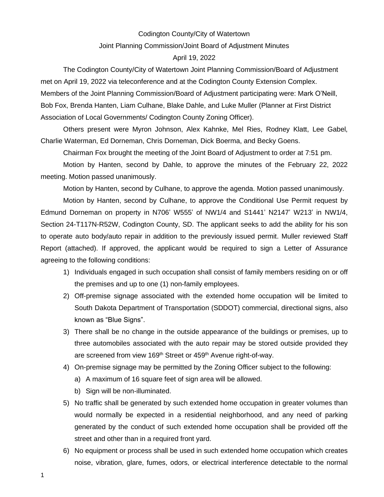#### Codington County/City of Watertown

### Joint Planning Commission/Joint Board of Adjustment Minutes

### April 19, 2022

The Codington County/City of Watertown Joint Planning Commission/Board of Adjustment met on April 19, 2022 via teleconference and at the Codington County Extension Complex. Members of the Joint Planning Commission/Board of Adjustment participating were: Mark O'Neill, Bob Fox, Brenda Hanten, Liam Culhane, Blake Dahle, and Luke Muller (Planner at First District Association of Local Governments/ Codington County Zoning Officer).

Others present were Myron Johnson, Alex Kahnke, Mel Ries, Rodney Klatt, Lee Gabel, Charlie Waterman, Ed Dorneman, Chris Dorneman, Dick Boerma, and Becky Goens.

Chairman Fox brought the meeting of the Joint Board of Adjustment to order at 7:51 pm.

Motion by Hanten, second by Dahle, to approve the minutes of the February 22, 2022 meeting. Motion passed unanimously.

Motion by Hanten, second by Culhane, to approve the agenda. Motion passed unanimously.

Motion by Hanten, second by Culhane, to approve the Conditional Use Permit request by Edmund Dorneman on property in N706' W555' of NW1/4 and S1441' N2147' W213' in NW1/4, Section 24-T117N-R52W, Codington County, SD. The applicant seeks to add the ability for his son to operate auto body/auto repair in addition to the previously issued permit. Muller reviewed Staff Report (attached). If approved, the applicant would be required to sign a Letter of Assurance agreeing to the following conditions:

- 1) Individuals engaged in such occupation shall consist of family members residing on or off the premises and up to one (1) non-family employees.
- 2) Off-premise signage associated with the extended home occupation will be limited to South Dakota Department of Transportation (SDDOT) commercial, directional signs, also known as "Blue Signs".
- 3) There shall be no change in the outside appearance of the buildings or premises, up to three automobiles associated with the auto repair may be stored outside provided they are screened from view 169<sup>th</sup> Street or 459<sup>th</sup> Avenue right-of-way.
- 4) On-premise signage may be permitted by the Zoning Officer subject to the following:
	- a) A maximum of 16 square feet of sign area will be allowed.
	- b) Sign will be non-illuminated.
- 5) No traffic shall be generated by such extended home occupation in greater volumes than would normally be expected in a residential neighborhood, and any need of parking generated by the conduct of such extended home occupation shall be provided off the street and other than in a required front yard.
- 6) No equipment or process shall be used in such extended home occupation which creates noise, vibration, glare, fumes, odors, or electrical interference detectable to the normal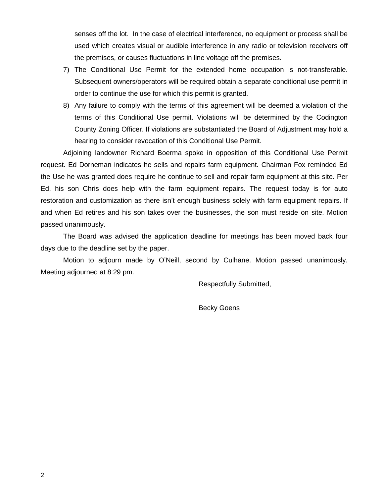senses off the lot. In the case of electrical interference, no equipment or process shall be used which creates visual or audible interference in any radio or television receivers off the premises, or causes fluctuations in line voltage off the premises.

- 7) The Conditional Use Permit for the extended home occupation is not-transferable. Subsequent owners/operators will be required obtain a separate conditional use permit in order to continue the use for which this permit is granted.
- 8) Any failure to comply with the terms of this agreement will be deemed a violation of the terms of this Conditional Use permit. Violations will be determined by the Codington County Zoning Officer. If violations are substantiated the Board of Adjustment may hold a hearing to consider revocation of this Conditional Use Permit.

Adjoining landowner Richard Boerma spoke in opposition of this Conditional Use Permit request. Ed Dorneman indicates he sells and repairs farm equipment. Chairman Fox reminded Ed the Use he was granted does require he continue to sell and repair farm equipment at this site. Per Ed, his son Chris does help with the farm equipment repairs. The request today is for auto restoration and customization as there isn't enough business solely with farm equipment repairs. If and when Ed retires and his son takes over the businesses, the son must reside on site. Motion passed unanimously.

The Board was advised the application deadline for meetings has been moved back four days due to the deadline set by the paper.

Motion to adjourn made by O'Neill, second by Culhane. Motion passed unanimously. Meeting adjourned at 8:29 pm.

Respectfully Submitted,

Becky Goens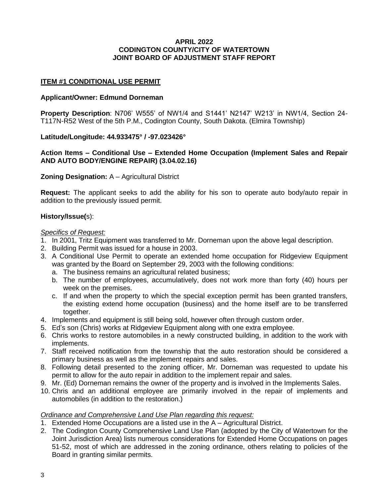# **APRIL 2022 CODINGTON COUNTY/CITY OF WATERTOWN JOINT BOARD OF ADJUSTMENT STAFF REPORT**

# **ITEM #1 CONDITIONAL USE PERMIT**

## **Applicant/Owner: Edmund Dorneman**

**Property Description**: N706' W555' of NW1/4 and S1441' N2147' W213' in NW1/4, Section 24- T117N-R52 West of the 5th P.M., Codington County, South Dakota. (Elmira Township)

# **Latitude/Longitude: 44.933475° / -97.023426°**

# **Action Items – Conditional Use – Extended Home Occupation (Implement Sales and Repair AND AUTO BODY/ENGINE REPAIR) (3.04.02.16)**

# **Zoning Designation:** A – Agricultural District

**Request:** The applicant seeks to add the ability for his son to operate auto body/auto repair in addition to the previously issued permit.

# **History/Issue(**s):

# *Specifics of Request:*

- 1. In 2001, Tritz Equipment was transferred to Mr. Dorneman upon the above legal description.
- 2. Building Permit was issued for a house in 2003.
- 3. A Conditional Use Permit to operate an extended home occupation for Ridgeview Equipment was granted by the Board on September 29, 2003 with the following conditions:
	- a. The business remains an agricultural related business;
	- b. The number of employees, accumulatively, does not work more than forty (40) hours per week on the premises.
	- c. If and when the property to which the special exception permit has been granted transfers, the existing extend home occupation (business) and the home itself are to be transferred together.
- 4. Implements and equipment is still being sold, however often through custom order.
- 5. Ed's son (Chris) works at Ridgeview Equipment along with one extra employee.
- 6. Chris works to restore automobiles in a newly constructed building, in addition to the work with implements.
- 7. Staff received notification from the township that the auto restoration should be considered a primary business as well as the implement repairs and sales.
- 8. Following detail presented to the zoning officer, Mr. Dorneman was requested to update his permit to allow for the auto repair in addition to the implement repair and sales.
- 9. Mr. (Ed) Dorneman remains the owner of the property and is involved in the Implements Sales.
- 10. Chris and an additional employee are primarily involved in the repair of implements and automobiles (in addition to the restoration.)

# *Ordinance and Comprehensive Land Use Plan regarding this request:*

- 1. Extended Home Occupations are a listed use in the A Agricultural District.
- 2. The Codington County Comprehensive Land Use Plan (adopted by the City of Watertown for the Joint Jurisdiction Area) lists numerous considerations for Extended Home Occupations on pages 51-52, most of which are addressed in the zoning ordinance, others relating to policies of the Board in granting similar permits.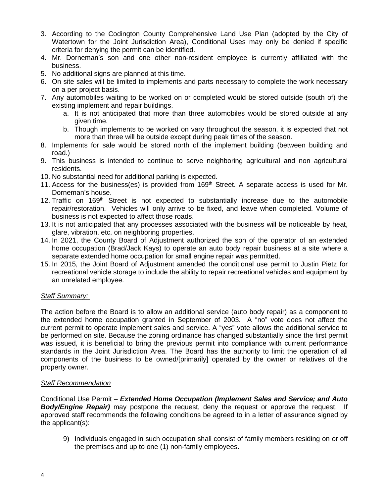- 3. According to the Codington County Comprehensive Land Use Plan (adopted by the City of Watertown for the Joint Jurisdiction Area), Conditional Uses may only be denied if specific criteria for denying the permit can be identified.
- 4. Mr. Dorneman's son and one other non-resident employee is currently affiliated with the business.
- 5. No additional signs are planned at this time.
- 6. On site sales will be limited to implements and parts necessary to complete the work necessary on a per project basis.
- 7. Any automobiles waiting to be worked on or completed would be stored outside (south of) the existing implement and repair buildings.
	- a. It is not anticipated that more than three automobiles would be stored outside at any given time.
	- b. Though implements to be worked on vary throughout the season, it is expected that not more than three will be outside except during peak times of the season.
- 8. Implements for sale would be stored north of the implement building (between building and road.)
- 9. This business is intended to continue to serve neighboring agricultural and non agricultural residents.
- 10. No substantial need for additional parking is expected.
- 11. Access for the business(es) is provided from  $169<sup>th</sup>$  Street. A separate access is used for Mr. Dorneman's house.
- 12. Traffic on  $169<sup>th</sup>$  Street is not expected to substantially increase due to the automobile repair/restoration. Vehicles will only arrive to be fixed, and leave when completed. Volume of business is not expected to affect those roads.
- 13. It is not anticipated that any processes associated with the business will be noticeable by heat, glare, vibration, etc. on neighboring properties.
- 14. In 2021, the County Board of Adjustment authorized the son of the operator of an extended home occupation (Brad/Jack Kays) to operate an auto body repair business at a site where a separate extended home occupation for small engine repair was permitted.
- 15. In 2015, the Joint Board of Adjustment amended the conditional use permit to Justin Pietz for recreational vehicle storage to include the ability to repair recreational vehicles and equipment by an unrelated employee.

## *Staff Summary:*

The action before the Board is to allow an additional service (auto body repair) as a component to the extended home occupation granted in September of 2003. A "no" vote does not affect the current permit to operate implement sales and service. A "yes" vote allows the additional service to be performed on site. Because the zoning ordinance has changed substantially since the first permit was issued, it is beneficial to bring the previous permit into compliance with current performance standards in the Joint Jurisdiction Area. The Board has the authority to limit the operation of all components of the business to be owned/[primarily] operated by the owner or relatives of the property owner.

## *Staff Recommendation*

Conditional Use Permit – *Extended Home Occupation (Implement Sales and Service; and Auto*  **Body/Engine Repair)** may postpone the request, deny the request or approve the request. If approved staff recommends the following conditions be agreed to in a letter of assurance signed by the applicant(s):

9) Individuals engaged in such occupation shall consist of family members residing on or off the premises and up to one (1) non-family employees.